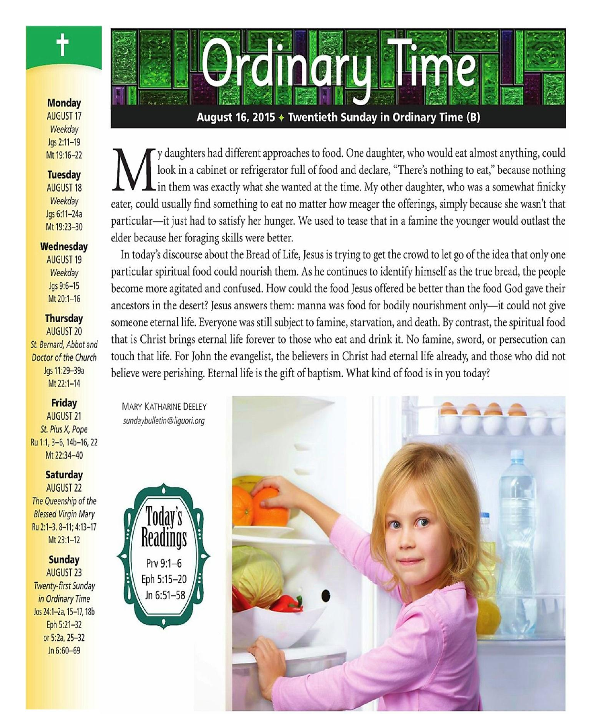### **Monday**

**AUGUST 17** Weekdav Jgs 2:11-19 Mt 19:16-22

### **Tuesday**

**AUGUST 18** Weekday Jas 6:11-24a Mt 19:23-30

#### Wednesdav

**AUGUST 19** Weekday Jgs 9:6-15 Mt 20:1-16

### **Thursday**

**AUGUST 20** St. Bernard, Abbot and Doctor of the Church Jqs 11:29-39a Mt 22:1-14

### **Friday**

**AUGUST 21** St. Pius X, Pope Ru 1:1, 3-6, 14b-16, 22 Mt 22:34-40

### **Saturday**

**AUGUST 22** The Queenship of the **Blessed Virgin Mary** Ru 2:1-3, 8-11; 4:13-17 Mt 23:1-12

### **Sunday AUGUST 23**

**Twenty-first Sunday** in Ordinary Time Jos 24:1-2a, 15-17, 18b Eph 5:21-32 or 5:2a, 25-32 Jn 6:60-69



## August 16, 2015 ♦ Twentieth Sunday in Ordinary Time (B)

y daughters had different approaches to food. One daughter, who would eat almost anything, could look in a cabinet or refrigerator full of food and declare, "There's nothing to eat," because nothing  $\mathsf{L}$  in them was exactly what she wanted at the time. My other daughter, who was a somewhat finicky eater, could usually find something to eat no matter how meager the offerings, simply because she wasn't that particular—it just had to satisfy her hunger. We used to tease that in a famine the younger would outlast the elder because her foraging skills were better.

In today's discourse about the Bread of Life, Jesus is trying to get the crowd to let go of the idea that only one particular spiritual food could nourish them. As he continues to identify himself as the true bread, the people become more agitated and confused. How could the food Jesus offered be better than the food God gave their ancestors in the desert? Jesus answers them: manna was food for bodily nourishment only-it could not give someone eternal life. Everyone was still subject to famine, starvation, and death. By contrast, the spiritual food that is Christ brings eternal life forever to those who eat and drink it. No famine, sword, or persecution can touch that life. For John the evangelist, the believers in Christ had eternal life already, and those who did not believe were perishing. Eternal life is the gift of baptism. What kind of food is in you today?

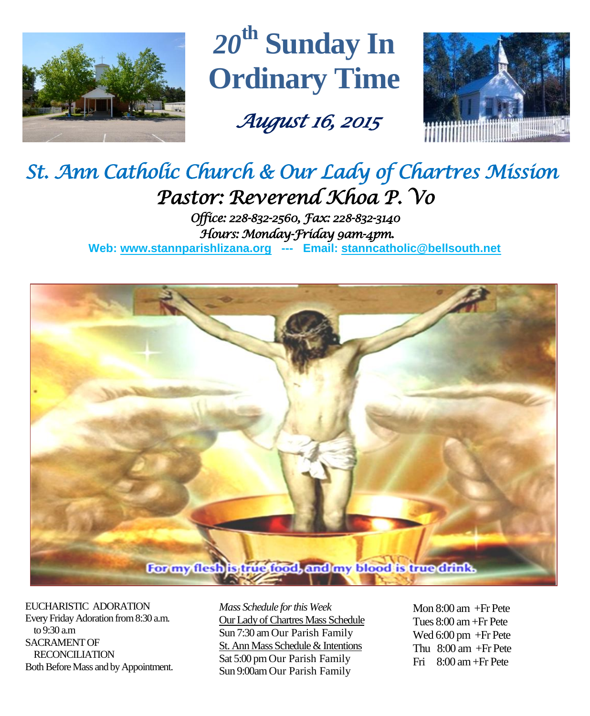

*20***th Sunday In Ordinary Time**

 *August 16, 2015* 



# *St. Ann Catholic Church & Our Lady of Chartres Mission Pastor: Reverend Khoa P. Vo*

*Office: 228-832-2560, Fax: 228-832-3140 Hours: Monday-Friday 9am-4pm.*  **Web: www.stannparishlizana.org --- Email: [stanncatholic@bellsouth.net](mailto:stanncatholic@bellsouth.net)**



EUCHARISTIC ADORATION Every Friday Adoration from 8:30 a.m. to 9:30 a.m SACRAMENT OF RECONCILIATION Both Before Mass and by Appointment. *Mass Schedule for this Week*  Our Lady of Chartres Mass Schedule Sun 7:30 am Our Parish Family St. Ann Mass Schedule & Intentions Sat 5:00 pm Our Parish Family Sun 9:00am Our Parish Family

Mon 8:00 am +Fr Pete Tues 8:00 am +Fr Pete Wed 6:00 pm +Fr Pete Thu  $8:00$  am  $+Fr$  Pete Fri 8:00 am+Fr Pete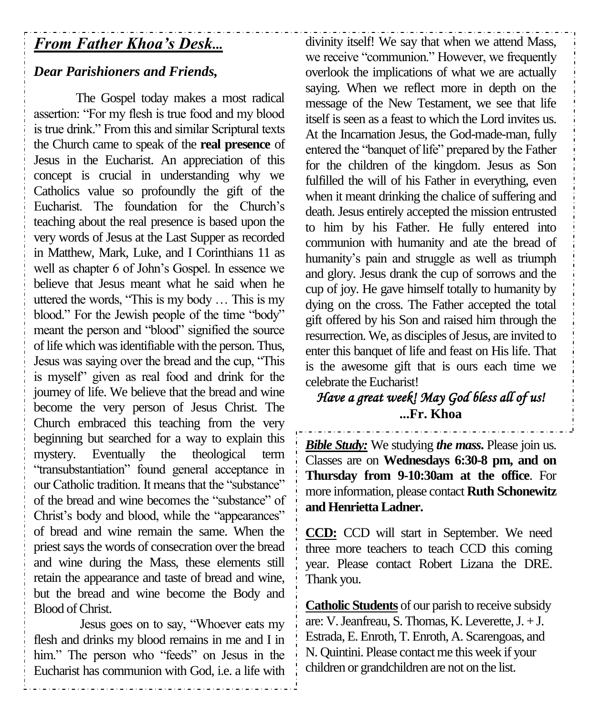# *From Father Khoa's Desk...*

## *Dear Parishioners and Friends,*

The Gospel today makes a most radical assertion: "For my flesh is true food and my blood is true drink." From this and similar Scriptural texts the Church came to speak of the **real presence** of Jesus in the Eucharist. An appreciation of this concept is crucial in understanding why we Catholics value so profoundly the gift of the Eucharist. The foundation for the Church's teaching about the real presence is based upon the very words of Jesus at the Last Supper as recorded in Matthew, Mark, Luke, and I Corinthians 11 as well as chapter 6 of John's Gospel. In essence we believe that Jesus meant what he said when he uttered the words, "This is my body … This is my blood." For the Jewish people of the time "body" meant the person and "blood" signified the source of life which was identifiable with the person. Thus, Jesus was saying over the bread and the cup, "This is myself" given as real food and drink for the journey of life. We believe that the bread and wine become the very person of Jesus Christ. The Church embraced this teaching from the very beginning but searched for a way to explain this mystery. Eventually the theological term "transubstantiation" found general acceptance in our Catholic tradition. It means that the "substance" of the bread and wine becomes the "substance" of Christ's body and blood, while the "appearances" of bread and wine remain the same. When the priest says the words of consecration over the bread and wine during the Mass, these elements still retain the appearance and taste of bread and wine, but the bread and wine become the Body and Blood of Christ.

Jesus goes on to say, "Whoever eats my flesh and drinks my blood remains in me and I in him." The person who "feeds" on Jesus in the Eucharist has communion with God, i.e. a life with divinity itself! We say that when we attend Mass, we receive "communion." However, we frequently overlook the implications of what we are actually saying. When we reflect more in depth on the message of the New Testament, we see that life itself is seen as a feast to which the Lord invites us. At the Incarnation Jesus, the God-made-man, fully entered the "banquet of life" prepared by the Father for the children of the kingdom. Jesus as Son fulfilled the will of his Father in everything, even when it meant drinking the chalice of suffering and death. Jesus entirely accepted the mission entrusted to him by his Father. He fully entered into communion with humanity and ate the bread of humanity's pain and struggle as well as triumph and glory. Jesus drank the cup of sorrows and the cup of joy. He gave himself totally to humanity by dying on the cross. The Father accepted the total gift offered by his Son and raised him through the resurrection. We, as disciples of Jesus, are invited to enter this banquet of life and feast on His life. That is the awesome gift that is ours each time we celebrate the Eucharist!

# *Have a great week! May God bless all of us!*  **...Fr. Khoa**

*Bible Study:* We studying *the mass***.** Please join us. Classes are on **Wednesdays 6:30-8 pm, and on Thursday from 9-10:30am at the office**. For more information, please contact **Ruth Schonewitz and Henrietta Ladner.**

**CCD:** CCD will start in September. We need three more teachers to teach CCD this coming year. Please contact Robert Lizana the DRE. Thank you.

**Catholic Students** of our parish to receive subsidy are: V.Jeanfreau, S. Thomas, K. Leverette, J. + J. Estrada, E. Enroth, T. Enroth, A. Scarengoas, and N. Quintini. Please contact me this week if your children or grandchildren are not on the list.